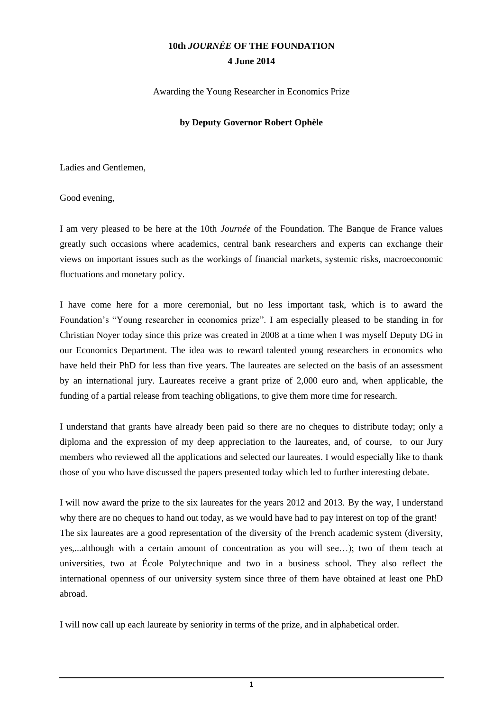## **10th** *JOURNÉE* **OF THE FOUNDATION 4 June 2014**

Awarding the Young Researcher in Economics Prize

## **by Deputy Governor Robert Ophèle**

Ladies and Gentlemen,

Good evening,

I am very pleased to be here at the 10th *Journée* of the Foundation. The Banque de France values greatly such occasions where academics, central bank researchers and experts can exchange their views on important issues such as the workings of financial markets, systemic risks, macroeconomic fluctuations and monetary policy.

I have come here for a more ceremonial, but no less important task, which is to award the Foundation's "Young researcher in economics prize". I am especially pleased to be standing in for Christian Noyer today since this prize was created in 2008 at a time when I was myself Deputy DG in our Economics Department. The idea was to reward talented young researchers in economics who have held their PhD for less than five years. The laureates are selected on the basis of an assessment by an international jury. Laureates receive a grant prize of 2,000 euro and, when applicable, the funding of a partial release from teaching obligations, to give them more time for research.

I understand that grants have already been paid so there are no cheques to distribute today; only a diploma and the expression of my deep appreciation to the laureates, and, of course, to our Jury members who reviewed all the applications and selected our laureates. I would especially like to thank those of you who have discussed the papers presented today which led to further interesting debate.

I will now award the prize to the six laureates for the years 2012 and 2013. By the way, I understand why there are no cheques to hand out today, as we would have had to pay interest on top of the grant! The six laureates are a good representation of the diversity of the French academic system (diversity, yes,...although with a certain amount of concentration as you will see…); two of them teach at universities, two at École Polytechnique and two in a business school. They also reflect the international openness of our university system since three of them have obtained at least one PhD abroad.

I will now call up each laureate by seniority in terms of the prize, and in alphabetical order.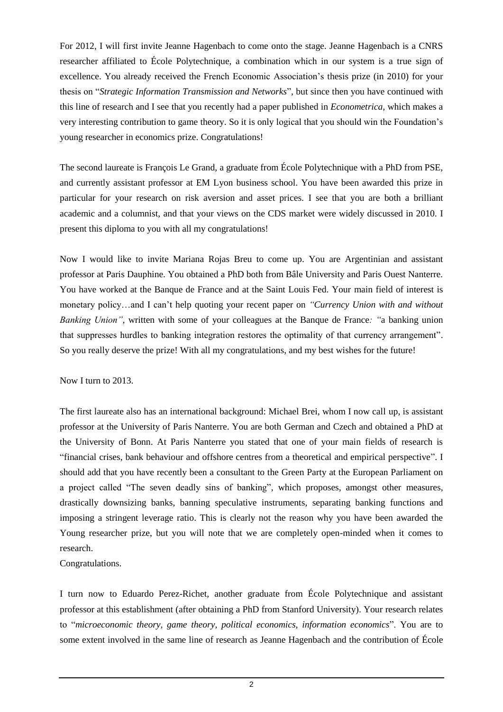For 2012, I will first invite Jeanne Hagenbach to come onto the stage. Jeanne Hagenbach is a CNRS researcher affiliated to École Polytechnique, a combination which in our system is a true sign of excellence. You already received the French Economic Association's thesis prize (in 2010) for your thesis on "*Strategic Information Transmission and Networks*", but since then you have continued with this line of research and I see that you recently had a paper published in *Econometrica,* which makes a very interesting contribution to game theory. So it is only logical that you should win the Foundation's young researcher in economics prize. Congratulations!

The second laureate is François Le Grand, a graduate from École Polytechnique with a PhD from PSE, and currently assistant professor at EM Lyon business school. You have been awarded this prize in particular for your research on risk aversion and asset prices. I see that you are both a brilliant academic and a columnist, and that your views on the CDS market were widely discussed in 2010. I present this diploma to you with all my congratulations!

Now I would like to invite Mariana Rojas Breu to come up. You are Argentinian and assistant professor at Paris Dauphine. You obtained a PhD both from Bâle University and Paris Ouest Nanterre. You have worked at the Banque de France and at the Saint Louis Fed. Your main field of interest is monetary policy…and I can't help quoting your recent paper on *"Currency Union with and without Banking Union",* written with some of your colleagues at the Banque de France*: "*a banking union that suppresses hurdles to banking integration restores the optimality of that currency arrangement". So you really deserve the prize! With all my congratulations, and my best wishes for the future!

Now I turn to 2013.

The first laureate also has an international background: Michael Brei, whom I now call up, is assistant professor at the University of Paris Nanterre. You are both German and Czech and obtained a PhD at the University of Bonn. At Paris Nanterre you stated that one of your main fields of research is "financial crises, bank behaviour and offshore centres from a theoretical and empirical perspective". I should add that you have recently been a consultant to the Green Party at the European Parliament on a project called "The seven deadly sins of banking", which proposes, amongst other measures, drastically downsizing banks, banning speculative instruments, separating banking functions and imposing a stringent leverage ratio. This is clearly not the reason why you have been awarded the Young researcher prize, but you will note that we are completely open-minded when it comes to research.

Congratulations.

I turn now to Eduardo Perez-Richet, another graduate from École Polytechnique and assistant professor at this establishment (after obtaining a PhD from Stanford University). Your research relates to "*microeconomic theory, game theory, political economics, information economics*". You are to some extent involved in the same line of research as Jeanne Hagenbach and the contribution of École